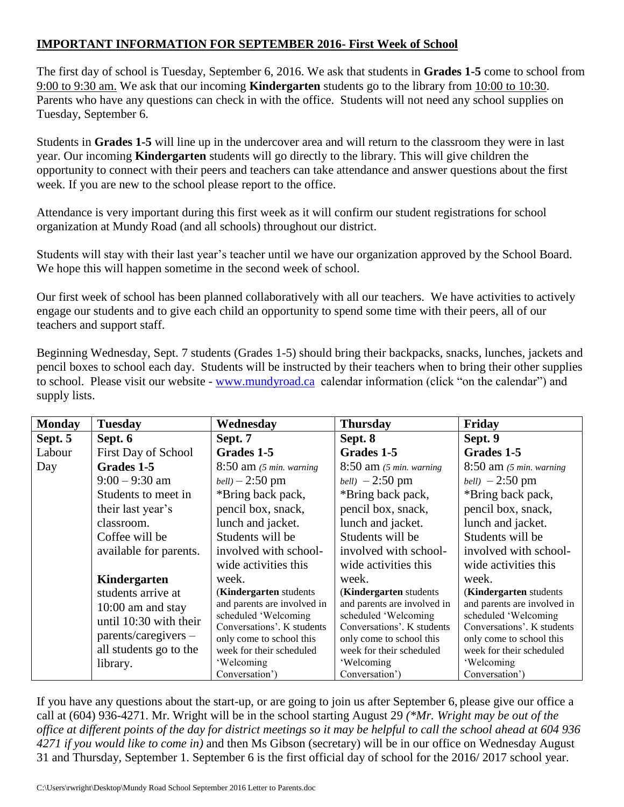## **IMPORTANT INFORMATION FOR SEPTEMBER 2016- First Week of School**

The first day of school is Tuesday, September 6, 2016. We ask that students in **Grades 1-5** come to school from 9:00 to 9:30 am. We ask that our incoming **Kindergarten** students go to the library from 10:00 to 10:30. Parents who have any questions can check in with the office. Students will not need any school supplies on Tuesday, September 6.

Students in **Grades 1-5** will line up in the undercover area and will return to the classroom they were in last year. Our incoming **Kindergarten** students will go directly to the library. This will give children the opportunity to connect with their peers and teachers can take attendance and answer questions about the first week. If you are new to the school please report to the office.

Attendance is very important during this first week as it will confirm our student registrations for school organization at Mundy Road (and all schools) throughout our district.

Students will stay with their last year's teacher until we have our organization approved by the School Board. We hope this will happen sometime in the second week of school.

Our first week of school has been planned collaboratively with all our teachers. We have activities to actively engage our students and to give each child an opportunity to spend some time with their peers, all of our teachers and support staff.

Beginning Wednesday, Sept. 7 students (Grades 1-5) should bring their backpacks, snacks, lunches, jackets and pencil boxes to school each day. Students will be instructed by their teachers when to bring their other supplies to school. Please visit our website - [www.mundyroad.ca](http://www.mundyroad.ca/) calendar information (click "on the calendar") and supply lists.

| <b>Monday</b> | <b>Tuesday</b>         | Wednesday                   | <b>Thursday</b>             | Friday                      |
|---------------|------------------------|-----------------------------|-----------------------------|-----------------------------|
| Sept. 5       | Sept. 6                | Sept. 7                     | Sept. 8                     | Sept. 9                     |
| Labour        | First Day of School    | Grades 1-5                  | Grades 1-5                  | Grades 1-5                  |
| Day           | Grades 1-5             | $8:50$ am (5 min. warning)  | $8:50$ am (5 min. warning)  | $8:50$ am (5 min. warning)  |
|               | $9:00 - 9:30$ am       | $bell$ ) – 2:50 pm          | <i>bell</i> ) $-2:50$ pm    | <i>bell</i> ) $-2:50$ pm    |
|               | Students to meet in    | *Bring back pack,           | *Bring back pack,           | *Bring back pack,           |
|               | their last year's      | pencil box, snack,          | pencil box, snack,          | pencil box, snack,          |
|               | classroom.             | lunch and jacket.           | lunch and jacket.           | lunch and jacket.           |
|               | Coffee will be         | Students will be            | Students will be            | Students will be            |
|               | available for parents. | involved with school-       | involved with school-       | involved with school-       |
|               |                        | wide activities this        | wide activities this        | wide activities this        |
|               | Kindergarten           | week.                       | week.                       | week.                       |
|               | students arrive at     | (Kindergarten students      | (Kindergarten students)     | (Kindergarten students      |
|               | $10:00$ am and stay    | and parents are involved in | and parents are involved in | and parents are involved in |
|               | until 10:30 with their | scheduled 'Welcoming        | scheduled 'Welcoming        | scheduled 'Welcoming        |
|               |                        | Conversations'. K students  | Conversations'. K students  | Conversations'. K students  |
|               | $parents/caregivers -$ | only come to school this    | only come to school this    | only come to school this    |
|               | all students go to the | week for their scheduled    | week for their scheduled    | week for their scheduled    |
|               | library.               | 'Welcoming                  | 'Welcoming                  | 'Welcoming                  |
|               |                        | Conversation')              | Conversation')              | Conversation')              |

If you have any questions about the start-up, or are going to join us after September 6, please give our office a call at (604) 936-4271. Mr. Wright will be in the school starting August 29 *(\*Mr. Wright may be out of the office at different points of the day for district meetings so it may be helpful to call the school ahead at 604 936 4271 if you would like to come in)* and then Ms Gibson (secretary) will be in our office on Wednesday August 31 and Thursday, September 1. September 6 is the first official day of school for the 2016/ 2017 school year.